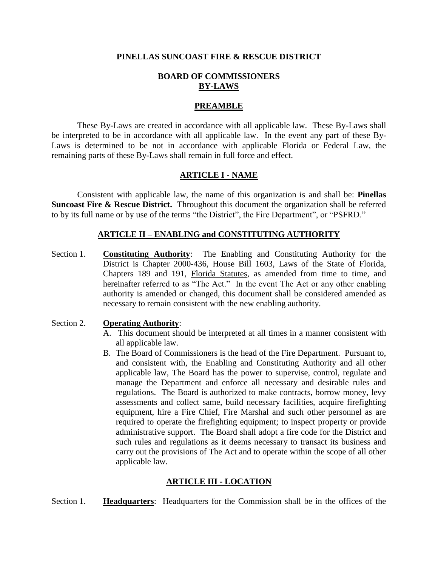#### **PINELLAS SUNCOAST FIRE & RESCUE DISTRICT**

#### **BOARD OF COMMISSIONERS BY-LAWS**

#### **PREAMBLE**

These By-Laws are created in accordance with all applicable law. These By-Laws shall be interpreted to be in accordance with all applicable law. In the event any part of these By-Laws is determined to be not in accordance with applicable Florida or Federal Law, the remaining parts of these By-Laws shall remain in full force and effect.

#### **ARTICLE I - NAME**

Consistent with applicable law, the name of this organization is and shall be: **Pinellas Suncoast Fire & Rescue District.** Throughout this document the organization shall be referred to by its full name or by use of the terms "the District", the Fire Department", or "PSFRD."

#### **ARTICLE II – ENABLING and CONSTITUTING AUTHORITY**

Section 1. **Constituting Authority**: The Enabling and Constituting Authority for the District is Chapter 2000-436, House Bill 1603, Laws of the State of Florida, Chapters 189 and 191, Florida Statutes, as amended from time to time, and hereinafter referred to as "The Act." In the event The Act or any other enabling authority is amended or changed, this document shall be considered amended as necessary to remain consistent with the new enabling authority.

#### Section 2. **Operating Authority**:

- A. This document should be interpreted at all times in a manner consistent with all applicable law.
- B. The Board of Commissioners is the head of the Fire Department. Pursuant to, and consistent with, the Enabling and Constituting Authority and all other applicable law, The Board has the power to supervise, control, regulate and manage the Department and enforce all necessary and desirable rules and regulations. The Board is authorized to make contracts, borrow money, levy assessments and collect same, build necessary facilities, acquire firefighting equipment, hire a Fire Chief, Fire Marshal and such other personnel as are required to operate the firefighting equipment; to inspect property or provide administrative support. The Board shall adopt a fire code for the District and such rules and regulations as it deems necessary to transact its business and carry out the provisions of The Act and to operate within the scope of all other applicable law.

#### **ARTICLE III - LOCATION**

Section 1. **Headquarters**: Headquarters for the Commission shall be in the offices of the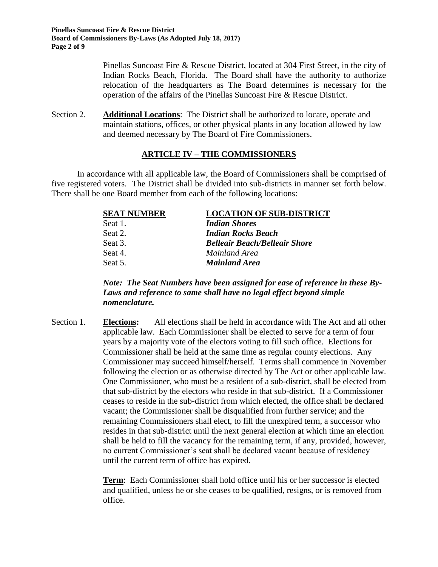Pinellas Suncoast Fire & Rescue District, located at 304 First Street, in the city of Indian Rocks Beach, Florida. The Board shall have the authority to authorize relocation of the headquarters as The Board determines is necessary for the operation of the affairs of the Pinellas Suncoast Fire & Rescue District.

Section 2. **Additional Locations**: The District shall be authorized to locate, operate and maintain stations, offices, or other physical plants in any location allowed by law and deemed necessary by The Board of Fire Commissioners.

## **ARTICLE IV – THE COMMISSIONERS**

In accordance with all applicable law, the Board of Commissioners shall be comprised of five registered voters. The District shall be divided into sub-districts in manner set forth below. There shall be one Board member from each of the following locations:

| <b>SEAT NUMBER</b> | <b>LOCATION OF SUB-DISTRICT</b>      |
|--------------------|--------------------------------------|
| Seat 1.            | <b>Indian Shores</b>                 |
| Seat 2.            | <b>Indian Rocks Beach</b>            |
| Seat 3.            | <b>Belleair Beach/Belleair Shore</b> |
| Seat 4.            | Mainland Area                        |
| Seat 5.            | Mainland Area                        |

*Note: The Seat Numbers have been assigned for ease of reference in these By-Laws and reference to same shall have no legal effect beyond simple nomenclature.*

Section 1. **Elections:** All elections shall be held in accordance with The Act and all other applicable law. Each Commissioner shall be elected to serve for a term of four years by a majority vote of the electors voting to fill such office. Elections for Commissioner shall be held at the same time as regular county elections. Any Commissioner may succeed himself/herself. Terms shall commence in November following the election or as otherwise directed by The Act or other applicable law. One Commissioner, who must be a resident of a sub-district, shall be elected from that sub-district by the electors who reside in that sub-district. If a Commissioner ceases to reside in the sub-district from which elected, the office shall be declared vacant; the Commissioner shall be disqualified from further service; and the remaining Commissioners shall elect, to fill the unexpired term, a successor who resides in that sub-district until the next general election at which time an election shall be held to fill the vacancy for the remaining term, if any, provided, however, no current Commissioner's seat shall be declared vacant because of residency until the current term of office has expired.

> **Term**: Each Commissioner shall hold office until his or her successor is elected and qualified, unless he or she ceases to be qualified, resigns, or is removed from office.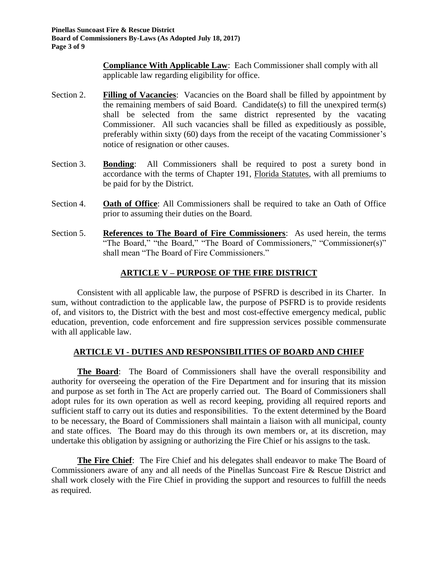**Compliance With Applicable Law**: Each Commissioner shall comply with all applicable law regarding eligibility for office.

- Section 2. **Filling of Vacancies**: Vacancies on the Board shall be filled by appointment by the remaining members of said Board. Candidate(s) to fill the unexpired term(s) shall be selected from the same district represented by the vacating Commissioner. All such vacancies shall be filled as expeditiously as possible, preferably within sixty (60) days from the receipt of the vacating Commissioner's notice of resignation or other causes.
- Section 3. **Bonding**: All Commissioners shall be required to post a surety bond in accordance with the terms of Chapter 191, Florida Statutes, with all premiums to be paid for by the District.
- Section 4. **Oath of Office**: All Commissioners shall be required to take an Oath of Office prior to assuming their duties on the Board.
- Section 5. **References to The Board of Fire Commissioners**: As used herein, the terms "The Board," "the Board," "The Board of Commissioners," "Commissioner(s)" shall mean "The Board of Fire Commissioners."

# **ARTICLE V – PURPOSE OF THE FIRE DISTRICT**

Consistent with all applicable law, the purpose of PSFRD is described in its Charter. In sum, without contradiction to the applicable law, the purpose of PSFRD is to provide residents of, and visitors to, the District with the best and most cost-effective emergency medical, public education, prevention, code enforcement and fire suppression services possible commensurate with all applicable law.

## **ARTICLE VI - DUTIES AND RESPONSIBILITIES OF BOARD AND CHIEF**

**The Board**: The Board of Commissioners shall have the overall responsibility and authority for overseeing the operation of the Fire Department and for insuring that its mission and purpose as set forth in The Act are properly carried out. The Board of Commissioners shall adopt rules for its own operation as well as record keeping, providing all required reports and sufficient staff to carry out its duties and responsibilities. To the extent determined by the Board to be necessary, the Board of Commissioners shall maintain a liaison with all municipal, county and state offices. The Board may do this through its own members or, at its discretion, may undertake this obligation by assigning or authorizing the Fire Chief or his assigns to the task.

**The Fire Chief**: The Fire Chief and his delegates shall endeavor to make The Board of Commissioners aware of any and all needs of the Pinellas Suncoast Fire & Rescue District and shall work closely with the Fire Chief in providing the support and resources to fulfill the needs as required.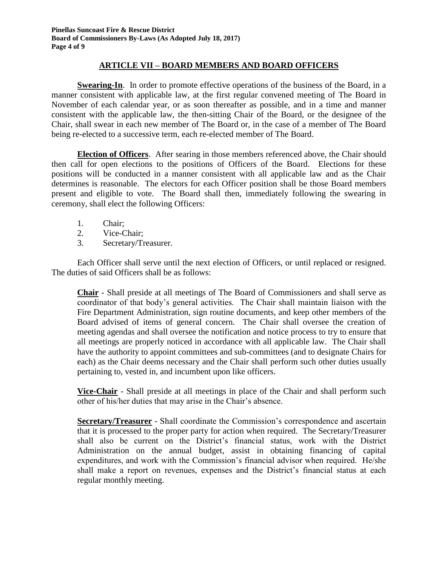## **ARTICLE VII – BOARD MEMBERS AND BOARD OFFICERS**

**Swearing-In**. In order to promote effective operations of the business of the Board, in a manner consistent with applicable law, at the first regular convened meeting of The Board in November of each calendar year, or as soon thereafter as possible, and in a time and manner consistent with the applicable law, the then-sitting Chair of the Board, or the designee of the Chair, shall swear in each new member of The Board or, in the case of a member of The Board being re-elected to a successive term, each re-elected member of The Board.

**Election of Officers**. After searing in those members referenced above, the Chair should then call for open elections to the positions of Officers of the Board. Elections for these positions will be conducted in a manner consistent with all applicable law and as the Chair determines is reasonable. The electors for each Officer position shall be those Board members present and eligible to vote. The Board shall then, immediately following the swearing in ceremony, shall elect the following Officers:

- 1. Chair;
- 2. Vice-Chair;
- 3. Secretary/Treasurer.

Each Officer shall serve until the next election of Officers, or until replaced or resigned. The duties of said Officers shall be as follows:

**Chair** - Shall preside at all meetings of The Board of Commissioners and shall serve as coordinator of that body's general activities. The Chair shall maintain liaison with the Fire Department Administration, sign routine documents, and keep other members of the Board advised of items of general concern. The Chair shall oversee the creation of meeting agendas and shall oversee the notification and notice process to try to ensure that all meetings are properly noticed in accordance with all applicable law. The Chair shall have the authority to appoint committees and sub-committees (and to designate Chairs for each) as the Chair deems necessary and the Chair shall perform such other duties usually pertaining to, vested in, and incumbent upon like officers.

**Vice-Chair** - Shall preside at all meetings in place of the Chair and shall perform such other of his/her duties that may arise in the Chair's absence.

**Secretary/Treasurer** - Shall coordinate the Commission's correspondence and ascertain that it is processed to the proper party for action when required. The Secretary/Treasurer shall also be current on the District's financial status, work with the District Administration on the annual budget, assist in obtaining financing of capital expenditures, and work with the Commission's financial advisor when required. He/she shall make a report on revenues, expenses and the District's financial status at each regular monthly meeting.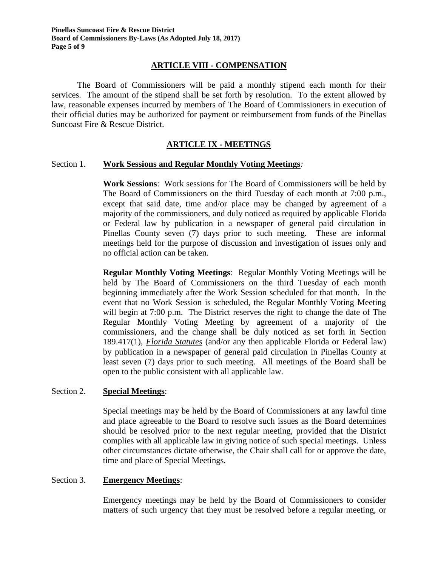## **ARTICLE VIII - COMPENSATION**

The Board of Commissioners will be paid a monthly stipend each month for their services. The amount of the stipend shall be set forth by resolution. To the extent allowed by law, reasonable expenses incurred by members of The Board of Commissioners in execution of their official duties may be authorized for payment or reimbursement from funds of the Pinellas Suncoast Fire & Rescue District.

## **ARTICLE IX - MEETINGS**

#### Section 1. **Work Sessions and Regular Monthly Voting Meetings***:*

**Work Sessions**: Work sessions for The Board of Commissioners will be held by The Board of Commissioners on the third Tuesday of each month at 7:00 p.m., except that said date, time and/or place may be changed by agreement of a majority of the commissioners, and duly noticed as required by applicable Florida or Federal law by publication in a newspaper of general paid circulation in Pinellas County seven (7) days prior to such meeting. These are informal meetings held for the purpose of discussion and investigation of issues only and no official action can be taken.

**Regular Monthly Voting Meetings**: Regular Monthly Voting Meetings will be held by The Board of Commissioners on the third Tuesday of each month beginning immediately after the Work Session scheduled for that month. In the event that no Work Session is scheduled, the Regular Monthly Voting Meeting will begin at 7:00 p.m. The District reserves the right to change the date of The Regular Monthly Voting Meeting by agreement of a majority of the commissioners, and the change shall be duly noticed as set forth in Section 189.417(1), *Florida Statutes* (and/or any then applicable Florida or Federal law) by publication in a newspaper of general paid circulation in Pinellas County at least seven (7) days prior to such meeting. All meetings of the Board shall be open to the public consistent with all applicable law.

#### Section 2. **Special Meetings**:

Special meetings may be held by the Board of Commissioners at any lawful time and place agreeable to the Board to resolve such issues as the Board determines should be resolved prior to the next regular meeting, provided that the District complies with all applicable law in giving notice of such special meetings. Unless other circumstances dictate otherwise, the Chair shall call for or approve the date, time and place of Special Meetings.

#### Section 3. **Emergency Meetings**:

Emergency meetings may be held by the Board of Commissioners to consider matters of such urgency that they must be resolved before a regular meeting, or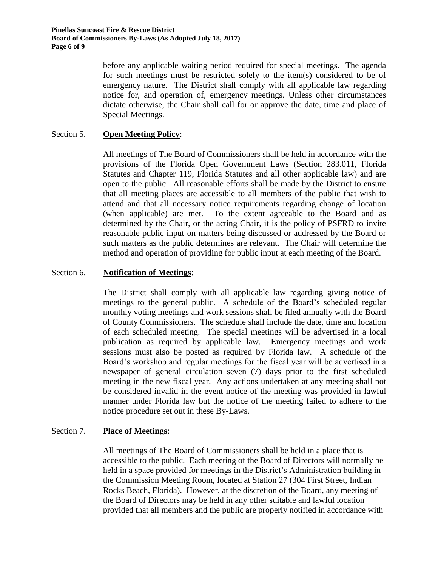before any applicable waiting period required for special meetings. The agenda for such meetings must be restricted solely to the item(s) considered to be of emergency nature. The District shall comply with all applicable law regarding notice for, and operation of*,* emergency meetings. Unless other circumstances dictate otherwise, the Chair shall call for or approve the date, time and place of Special Meetings.

## Section 5. **Open Meeting Policy**:

All meetings of The Board of Commissioners shall be held in accordance with the provisions of the Florida Open Government Laws (Section 283.011, Florida Statutes and Chapter 119, Florida Statutes and all other applicable law) and are open to the public. All reasonable efforts shall be made by the District to ensure that all meeting places are accessible to all members of the public that wish to attend and that all necessary notice requirements regarding change of location (when applicable) are met. To the extent agreeable to the Board and as determined by the Chair, or the acting Chair, it is the policy of PSFRD to invite reasonable public input on matters being discussed or addressed by the Board or such matters as the public determines are relevant. The Chair will determine the method and operation of providing for public input at each meeting of the Board.

#### Section 6. **Notification of Meetings**:

The District shall comply with all applicable law regarding giving notice of meetings to the general public. A schedule of the Board's scheduled regular monthly voting meetings and work sessions shall be filed annually with the Board of County Commissioners. The schedule shall include the date, time and location of each scheduled meeting. The special meetings will be advertised in a local publication as required by applicable law. Emergency meetings and work sessions must also be posted as required by Florida law. A schedule of the Board's workshop and regular meetings for the fiscal year will be advertised in a newspaper of general circulation seven (7) days prior to the first scheduled meeting in the new fiscal year. Any actions undertaken at any meeting shall not be considered invalid in the event notice of the meeting was provided in lawful manner under Florida law but the notice of the meeting failed to adhere to the notice procedure set out in these By-Laws.

#### Section 7. **Place of Meetings**:

All meetings of The Board of Commissioners shall be held in a place that is accessible to the public. Each meeting of the Board of Directors will normally be held in a space provided for meetings in the District's Administration building in the Commission Meeting Room, located at Station 27 (304 First Street, Indian Rocks Beach, Florida). However, at the discretion of the Board, any meeting of the Board of Directors may be held in any other suitable and lawful location provided that all members and the public are properly notified in accordance with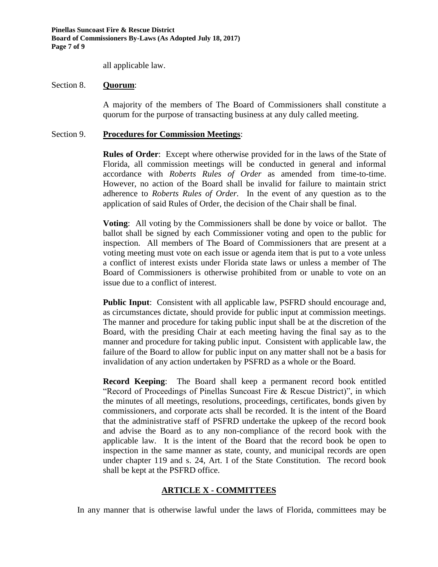all applicable law.

#### Section 8. **Quorum**:

A majority of the members of The Board of Commissioners shall constitute a quorum for the purpose of transacting business at any duly called meeting.

#### Section 9. **Procedures for Commission Meetings**:

**Rules of Order**: Except where otherwise provided for in the laws of the State of Florida, all commission meetings will be conducted in general and informal accordance with *Roberts Rules of Order* as amended from time-to-time. However, no action of the Board shall be invalid for failure to maintain strict adherence to *Roberts Rules of Order.* In the event of any question as to the application of said Rules of Order, the decision of the Chair shall be final.

**Voting**: All voting by the Commissioners shall be done by voice or ballot. The ballot shall be signed by each Commissioner voting and open to the public for inspection. All members of The Board of Commissioners that are present at a voting meeting must vote on each issue or agenda item that is put to a vote unless a conflict of interest exists under Florida state laws or unless a member of The Board of Commissioners is otherwise prohibited from or unable to vote on an issue due to a conflict of interest.

**Public Input**: Consistent with all applicable law, PSFRD should encourage and, as circumstances dictate, should provide for public input at commission meetings. The manner and procedure for taking public input shall be at the discretion of the Board, with the presiding Chair at each meeting having the final say as to the manner and procedure for taking public input. Consistent with applicable law, the failure of the Board to allow for public input on any matter shall not be a basis for invalidation of any action undertaken by PSFRD as a whole or the Board.

**Record Keeping**: The Board shall keep a permanent record book entitled "Record of Proceedings of Pinellas Suncoast Fire & Rescue District)", in which the minutes of all meetings, resolutions, proceedings, certificates, bonds given by commissioners, and corporate acts shall be recorded. It is the intent of the Board that the administrative staff of PSFRD undertake the upkeep of the record book and advise the Board as to any non-compliance of the record book with the applicable law. It is the intent of the Board that the record book be open to inspection in the same manner as state, county, and municipal records are open under chapter 119 and s. 24, Art. I of the State Constitution. The record book shall be kept at the PSFRD office.

## **ARTICLE X - COMMITTEES**

In any manner that is otherwise lawful under the laws of Florida, committees may be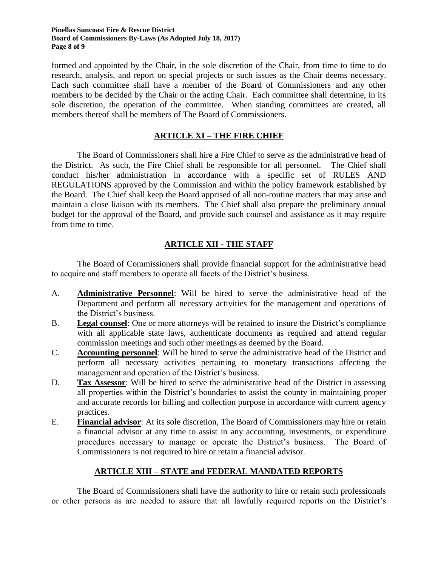#### **Pinellas Suncoast Fire & Rescue District Board of Commissioners By-Laws (As Adopted July 18, 2017) Page 8 of 9**

formed and appointed by the Chair, in the sole discretion of the Chair, from time to time to do research, analysis, and report on special projects or such issues as the Chair deems necessary. Each such committee shall have a member of the Board of Commissioners and any other members to be decided by the Chair or the acting Chair. Each committee shall determine, in its sole discretion, the operation of the committee. When standing committees are created, all members thereof shall be members of The Board of Commissioners.

# **ARTICLE XI – THE FIRE CHIEF**

The Board of Commissioners shall hire a Fire Chief to serve as the administrative head of the District. As such, the Fire Chief shall be responsible for all personnel. The Chief shall conduct his/her administration in accordance with a specific set of RULES AND REGULATIONS approved by the Commission and within the policy framework established by the Board. The Chief shall keep the Board apprised of all non-routine matters that may arise and maintain a close liaison with its members. The Chief shall also prepare the preliminary annual budget for the approval of the Board, and provide such counsel and assistance as it may require from time to time.

# **ARTICLE XII - THE STAFF**

The Board of Commissioners shall provide financial support for the administrative head to acquire and staff members to operate all facets of the District's business.

- A. **Administrative Personnel**: Will be hired to serve the administrative head of the Department and perform all necessary activities for the management and operations of the District's business.
- B. **Legal counsel**: One or more attorneys will be retained to insure the District's compliance with all applicable state laws, authenticate documents as required and attend regular commission meetings and such other meetings as deemed by the Board.
- C. **Accounting personnel**: Will be hired to serve the administrative head of the District and perform all necessary activities pertaining to monetary transactions affecting the management and operation of the District's business.
- D. **Tax Assessor**: Will be hired to serve the administrative head of the District in assessing all properties within the District's boundaries to assist the county in maintaining proper and accurate records for billing and collection purpose in accordance with current agency practices.
- E. **Financial advisor**: At its sole discretion, The Board of Commissioners may hire or retain a financial advisor at any time to assist in any accounting, investments, or expenditure procedures necessary to manage or operate the District's business. The Board of Commissioners is not required to hire or retain a financial advisor.

## **ARTICLE XIII – STATE and FEDERAL MANDATED REPORTS**

The Board of Commissioners shall have the authority to hire or retain such professionals or other persons as are needed to assure that all lawfully required reports on the District's